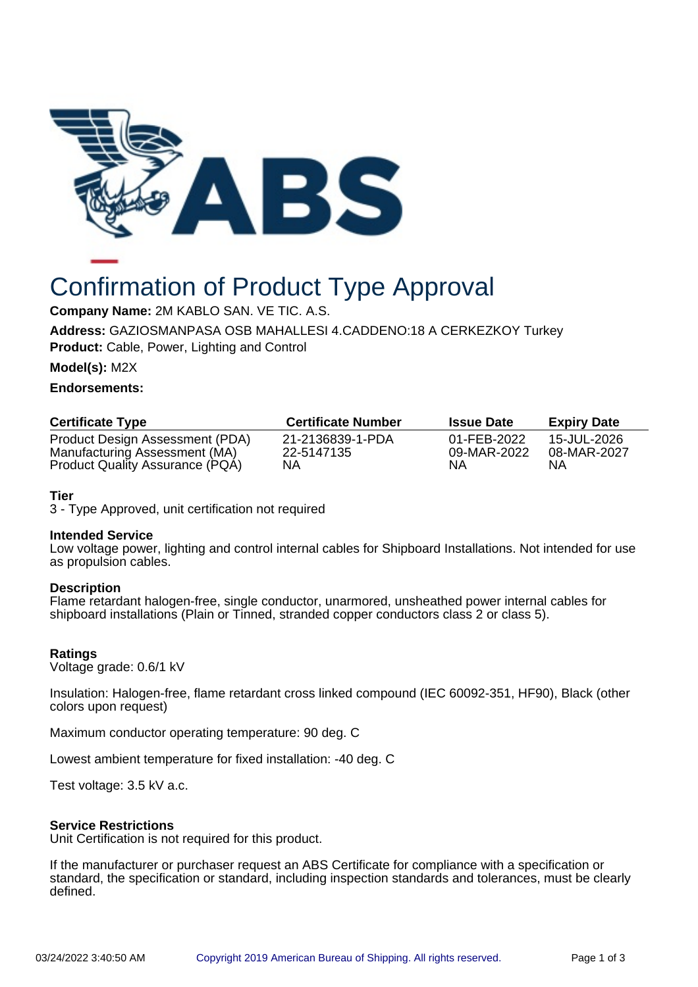

# Confirmation of Product Type Approval

**Company Name:** 2M KABLO SAN. VE TIC. A.S.

**Address:** GAZIOSMANPASA OSB MAHALLESI 4.CADDENO:18 A CERKEZKOY Turkey **Product:** Cable, Power, Lighting and Control

**Model(s):** M2X

## **Endorsements:**

| <b>Certificate Type</b>         | <b>Certificate Number</b> | <b>Issue Date</b> | <b>Expiry Date</b> |
|---------------------------------|---------------------------|-------------------|--------------------|
| Product Design Assessment (PDA) | 21-2136839-1-PDA          | 01-FEB-2022       | 15-JUL-2026        |
| Manufacturing Assessment (MA)   | 22-5147135                | 09-MAR-2022       | 08-MAR-2027        |
| Product Quality Assurance (PQA) | ΝA                        | ΝA                | ΝA                 |

# **Tier**

3 - Type Approved, unit certification not required

## **Intended Service**

Low voltage power, lighting and control internal cables for Shipboard Installations. Not intended for use as propulsion cables.

## **Description**

Flame retardant halogen-free, single conductor, unarmored, unsheathed power internal cables for shipboard installations (Plain or Tinned, stranded copper conductors class 2 or class 5).

# **Ratings**

Voltage grade: 0.6/1 kV

Insulation: Halogen-free, flame retardant cross linked compound (IEC 60092-351, HF90), Black (other colors upon request)

Maximum conductor operating temperature: 90 deg. C

Lowest ambient temperature for fixed installation: -40 deg. C

Test voltage: 3.5 kV a.c.

# **Service Restrictions**

Unit Certification is not required for this product.

If the manufacturer or purchaser request an ABS Certificate for compliance with a specification or standard, the specification or standard, including inspection standards and tolerances, must be clearly defined.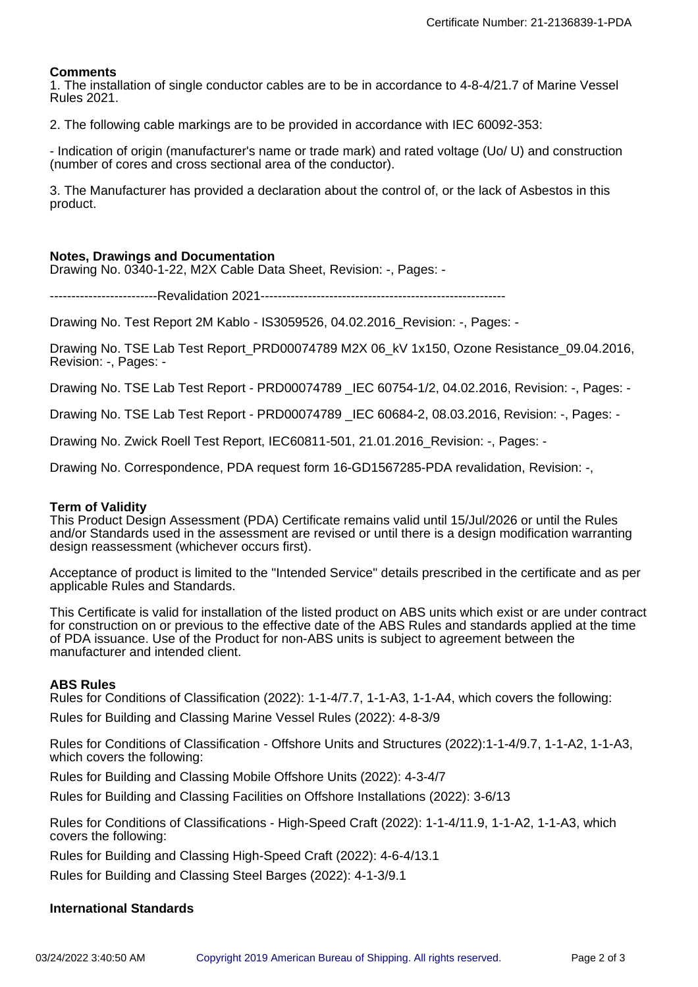## **Comments**

1. The installation of single conductor cables are to be in accordance to 4-8-4/21.7 of Marine Vessel Rules 2021.

2. The following cable markings are to be provided in accordance with IEC 60092-353:

- Indication of origin (manufacturer's name or trade mark) and rated voltage (Uo/ U) and construction (number of cores and cross sectional area of the conductor).

3. The Manufacturer has provided a declaration about the control of, or the lack of Asbestos in this product.

## **Notes, Drawings and Documentation**

Drawing No. 0340-1-22, M2X Cable Data Sheet, Revision: -, Pages: -

-------------------------Revalidation 2021---------------------------------------------------------

Drawing No. Test Report 2M Kablo - IS3059526, 04.02.2016\_Revision: -, Pages: -

Drawing No. TSE Lab Test Report\_PRD00074789 M2X 06\_kV 1x150, Ozone Resistance\_09.04.2016, Revision: -, Pages: -

Drawing No. TSE Lab Test Report - PRD00074789 \_IEC 60754-1/2, 04.02.2016, Revision: -, Pages: -

Drawing No. TSE Lab Test Report - PRD00074789 \_IEC 60684-2, 08.03.2016, Revision: -, Pages: -

Drawing No. Zwick Roell Test Report, IEC60811-501, 21.01.2016\_Revision: -, Pages: -

Drawing No. Correspondence, PDA request form 16-GD1567285-PDA revalidation, Revision: -,

## **Term of Validity**

This Product Design Assessment (PDA) Certificate remains valid until 15/Jul/2026 or until the Rules and/or Standards used in the assessment are revised or until there is a design modification warranting design reassessment (whichever occurs first).

Acceptance of product is limited to the "Intended Service" details prescribed in the certificate and as per applicable Rules and Standards.

This Certificate is valid for installation of the listed product on ABS units which exist or are under contract for construction on or previous to the effective date of the ABS Rules and standards applied at the time of PDA issuance. Use of the Product for non-ABS units is subject to agreement between the manufacturer and intended client.

## **ABS Rules**

Rules for Conditions of Classification (2022): 1-1-4/7.7, 1-1-A3, 1-1-A4, which covers the following: Rules for Building and Classing Marine Vessel Rules (2022): 4-8-3/9

Rules for Conditions of Classification - Offshore Units and Structures (2022):1-1-4/9.7, 1-1-A2, 1-1-A3, which covers the following:

Rules for Building and Classing Mobile Offshore Units (2022): 4-3-4/7

Rules for Building and Classing Facilities on Offshore Installations (2022): 3-6/13

Rules for Conditions of Classifications - High-Speed Craft (2022): 1-1-4/11.9, 1-1-A2, 1-1-A3, which covers the following:

Rules for Building and Classing High-Speed Craft (2022): 4-6-4/13.1

Rules for Building and Classing Steel Barges (2022): 4-1-3/9.1

## **International Standards**